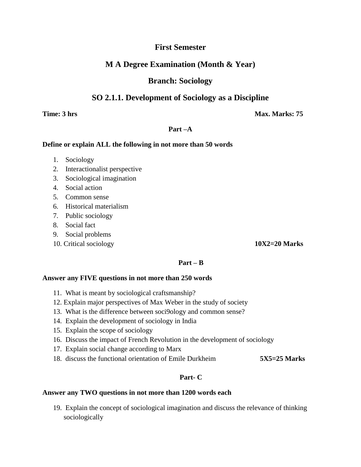# **First Semester**

# **M A Degree Examination (Month & Year)**

# **Branch: Sociology**

# **SO 2.1.1. Development of Sociology as a Discipline**

**Time: 3 hrs Max. Marks: 75** 

## **Part –A**

## **Define or explain ALL the following in not more than 50 words**

- 1. Sociology
- 2. Interactionalist perspective
- 3. Sociological imagination
- 4. Social action
- 5. Common sense
- 6. Historical materialism
- 7. Public sociology
- 8. Social fact
- 9. Social problems
- 10. Critical sociology **10X2=20 Marks**

# **Part – B**

#### **Answer any FIVE questions in not more than 250 words**

- 11. What is meant by sociological craftsmanship?
- 12. Explain major perspectives of Max Weber in the study of society
- 13. What is the difference between soci9ology and common sense?
- 14. Explain the development of sociology in India
- 15. Explain the scope of sociology
- 16. Discuss the impact of French Revolution in the development of sociology
- 17. Explain social change according to Marx
- 18. discuss the functional orientation of Emile Durkheim **5X5=25 Marks**

# **Part- C**

#### **Answer any TWO questions in not more than 1200 words each**

19. Explain the concept of sociological imagination and discuss the relevance of thinking sociologically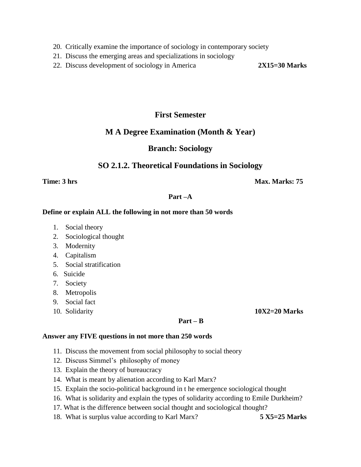- 20. Critically examine the importance of sociology in contemporary society
- 21. Discuss the emerging areas and specializations in sociology
- 22. Discuss development of sociology in America **2X15=30 Marks**

# **First Semester**

# **M A Degree Examination (Month & Year)**

# **Branch: Sociology**

# **SO 2.1.2. Theoretical Foundations in Sociology**

**Time: 3 hrs Max. Marks: 75** 

# **Part –A**

## **Define or explain ALL the following in not more than 50 words**

- 1. Social theory
- 2. Sociological thought
- 3. Modernity
- 4. Capitalism
- 5. Social stratification
- 6. Suicide
- 7. Society
- 8. Metropolis
- 9. Social fact
- 10. Solidarity **10X2=20 Marks**

#### **Part – B**

#### **Answer any FIVE questions in not more than 250 words**

- 11. Discuss the movement from social philosophy to social theory
- 12. Discuss Simmel's philosophy of money
- 13. Explain the theory of bureaucracy
- 14. What is meant by alienation according to Karl Marx?
- 15. Explain the socio-political background in t he emergence sociological thought
- 16. What is solidarity and explain the types of solidarity according to Emile Durkheim?
- 17. What is the difference between social thought and sociological thought?
- 18. What is surplus value according to Karl Marx? **5 X5=25 Marks**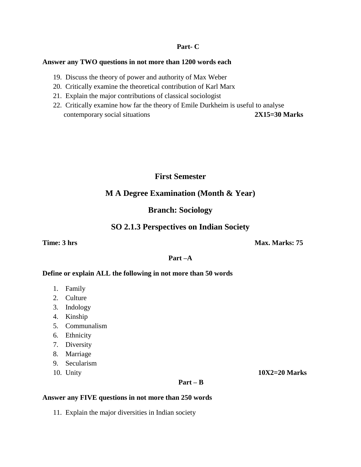#### **Part- C**

#### **Answer any TWO questions in not more than 1200 words each**

- 19. Discuss the theory of power and authority of Max Weber
- 20. Critically examine the theoretical contribution of Karl Marx
- 21. Explain the major contributions of classical sociologist
- 22. Critically examine how far the theory of Emile Durkheim is useful to analyse contemporary social situations **2X15=30 Marks**

# **First Semester**

# **M A Degree Examination (Month & Year)**

# **Branch: Sociology**

# **SO 2.1.3 Perspectives on Indian Society**

# **Time: 3 hrs Max. Marks: 75**

## **Part –A**

#### **Define or explain ALL the following in not more than 50 words**

- 1. Family
- 2. Culture
- 3. Indology
- 4. Kinship
- 5. Communalism
- 6. Ethnicity
- 7. Diversity
- 8. Marriage
- 9. Secularism
- 10. Unity **10X2=20 Marks**

#### **Part – B**

#### **Answer any FIVE questions in not more than 250 words**

11. Explain the major diversities in Indian society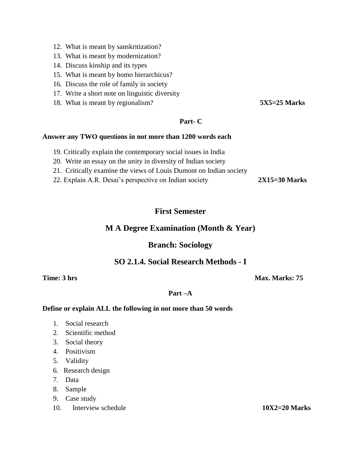- 12. What is meant by sanskritization?
- 13. What is meant by modernization?
- 14. Discuss kinship and its types
- 15. What is meant by homo hierarchicus?
- 16. Discuss the role of family in society
- 17. Write a short note on linguistic diversity
- 18. What is meant by regionalism? **5X5=25 Marks**

## **Part- C**

#### **Answer any TWO questions in not more than 1200 words each**

- 19. Critically explain the contemporary social issues in India
- 20. Write an essay on the unity in diversity of Indian society
- 21. Critically examine the views of Louis Dumont on Indian society
- 22. Explain A.R. Desai's perspective on Indian society **2X15=30 Marks**

# **First Semester**

# **M A Degree Examination (Month & Year)**

# **Branch: Sociology**

# **SO 2.1.4. Social Research Methods - I**

**Time: 3 hrs Max. Marks: 75** 

## **Part –A**

#### **Define or explain ALL the following in not more than 50 words**

- 1. Social research
- 2. Scientific method
- 3. Social theory
- 4. Positivism
- 5. Validity
- 6. Research design
- 7. Data
- 8. Sample
- 9. Case study
- 10. Interview schedule **10X2=20 Marks**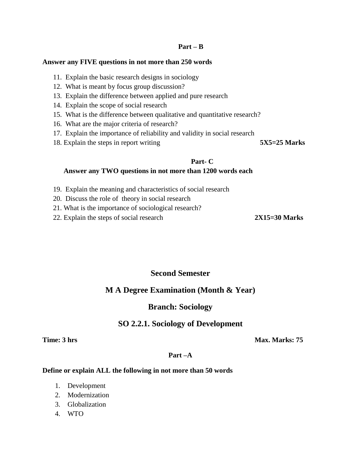#### **Part – B**

#### **Answer any FIVE questions in not more than 250 words**

- 11. Explain the basic research designs in sociology
- 12. What is meant by focus group discussion?
- 13. Explain the difference between applied and pure research
- 14. Explain the scope of social research
- 15. What is the difference between qualitative and quantitative research?
- 16. What are the major criteria of research?
- 17. Explain the importance of reliability and validity in social research
- 18. Explain the steps in report writing 5X5=25 Marks

#### **Part- C**

#### **Answer any TWO questions in not more than 1200 words each**

- 19. Explain the meaning and characteristics of social research
- 20. Discuss the role of theory in social research
- 21. What is the importance of sociological research?
- 22. Explain the steps of social research **2X15=30 Marks**

# **Second Semester**

# **M A Degree Examination (Month & Year)**

# **Branch: Sociology**

# **SO 2.2.1. Sociology of Development**

**Time: 3 hrs Max. Marks: 75** 

#### **Part –A**

#### **Define or explain ALL the following in not more than 50 words**

- 1. Development
- 2. Modernization
- 3. Globalization
- 4. WTO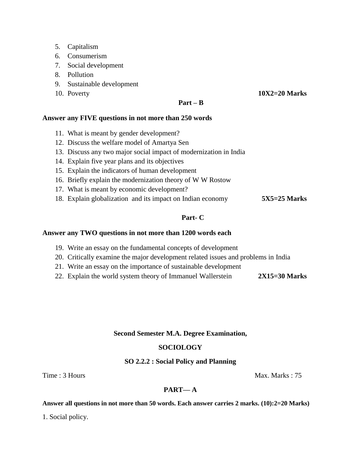- 5. Capitalism
- 6. Consumerism
- 7. Social development
- 8. Pollution
- 9. Sustainable development
- 

10. Poverty **10X2=20 Marks**

## **Part – B**

## **Answer any FIVE questions in not more than 250 words**

- 11. What is meant by gender development?
- 12. Discuss the welfare model of Amartya Sen
- 13. Discuss any two major social impact of modernization in India
- 14. Explain five year plans and its objectives
- 15. Explain the indicators of human development
- 16. Briefly explain the modernization theory of W W Rostow
- 17. What is meant by economic development?
- 18. Explain globalization and its impact on Indian economy **5X5=25 Marks**

# **Part- C**

### **Answer any TWO questions in not more than 1200 words each**

- 19. Write an essay on the fundamental concepts of development
- 20. Critically examine the major development related issues and problems in India
- 21. Write an essay on the importance of sustainable development
- 22. Explain the world system theory of Immanuel Wallerstein **2X15=30 Marks**

#### **Second Semester M.A. Degree Examination,**

# **SOCIOLOGY**

# **SO 2.2.2 : Social Policy and Planning**

Time : 3 Hours Max. Marks : 75

# **PART— A**

#### **Answer all questions in not more than 50 words. Each answer carries 2 marks. (10):2=20 Marks)**

1. Social policy.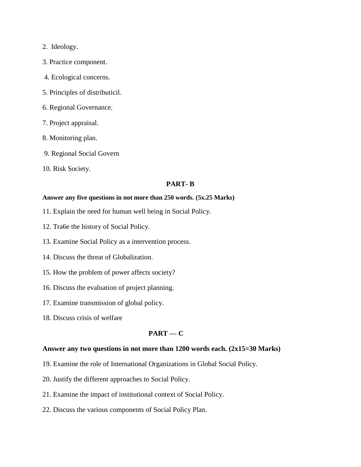## 2. Ideology.

- 3. Practice component.
- 4. Ecological concerns.
- 5. Principles of distributicil.
- 6. Regional Governance.
- 7. Project appraisal.
- 8. Monitoring plan.
- 9. Regional Social Govern
- 10. Risk Society.

## **PART- B**

#### **Answer any five questions in not more than 250 words. (5x.25 Marks)**

- 11. Explain the need for human well being in Social Policy.
- 12. Tra6e the history of Social Policy.
- 13. Examine Social Policy as a intervention process.
- 14. Discuss the threat of Globalization.
- 15. How the problem of power affects society?
- 16. Discuss the evaluation of project planning.
- 17. Examine transmission of global policy.
- 18. Discuss crisis of welfare

# **PART — C**

## **Answer any two questions in not more than 1200 words each. (2x15=30 Marks)**

- 19. Examine the role of International Organizations in Global Social Policy.
- 20. Justify the different approaches to Social Policy.
- 21. Examine the impact of institutional context of Social Policy.
- 22. Discuss the various components of Social Policy Plan.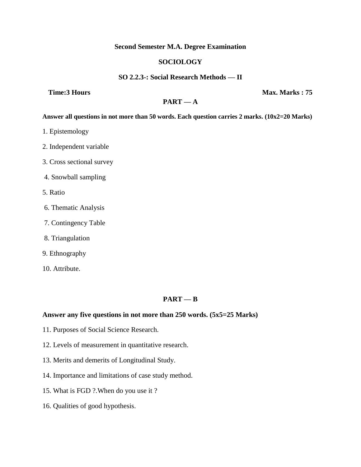### **Second Semester M.A. Degree Examination**

# **SOCIOLOGY**

## **SO 2.2.3-: Social Research Methods — II**

**Time:3 Hours Max. Marks : 75** 

# $PART - A$

#### **Answer all questions in not more than 50 words. Each question carries 2 marks. (10x2=20 Marks)**

- 1. Epistemology
- 2. Independent variable
- 3. Cross sectional survey
- 4. Snowball sampling
- 5. Ratio
- 6. Thematic Analysis
- 7. Contingency Table
- 8. Triangulation
- 9. Ethnography
- 10. Attribute.

# **PART — B**

### **Answer any five questions in not more than 250 words. (5x5=25 Marks)**

- 11. Purposes of Social Science Research.
- 12. Levels of measurement in quantitative research.
- 13. Merits and demerits of Longitudinal Study.
- 14. Importance and limitations of case study method.
- 15. What is FGD ?.When do you use it ?
- 16. Qualities of good hypothesis.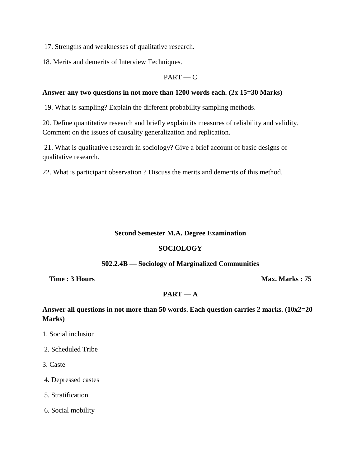17. Strengths and weaknesses of qualitative research.

18. Merits and demerits of Interview Techniques.

# $PART - C$

## **Answer any two questions in not more than 1200 words each. (2x 15=30 Marks)**

19. What is sampling? Explain the different probability sampling methods.

20. Define quantitative research and briefly explain its measures of reliability and validity. Comment on the issues of causality generalization and replication.

21. What is qualitative research in sociology? Give a brief account of basic designs of qualitative research.

22. What is participant observation ? Discuss the merits and demerits of this method.

## **Second Semester M.A. Degree Examination**

### **SOCIOLOGY**

# **S02.2.4B — Sociology of Marginalized Communities**

**Time : 3 Hours Max. Marks : 75** 

# $PART - A$

# **Answer all questions in not more than 50 words. Each question carries 2 marks. (10x2=20 Marks)**

- 1. Social inclusion
- 2. Scheduled Tribe
- 3. Caste
- 4. Depressed castes
- 5. Stratification
- 6. Social mobility